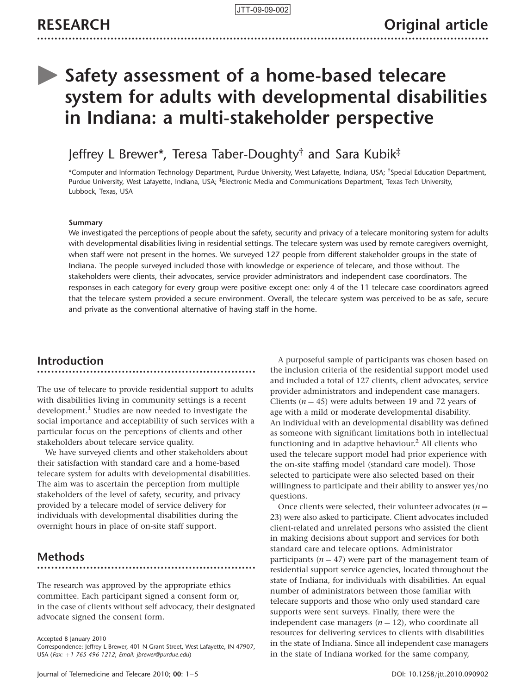# Safety assessment of a home-based telecare system for adults with developmental disabilities in Indiana: a multi-stakeholder perspective

# Jeffrey L Brewer\*, Teresa Taber-Doughty† and Sara Kubik‡

\*Computer and Information Technology Department, Purdue University, West Lafayette, Indiana, USA; † Special Education Department, Purdue University, West Lafayette, Indiana, USA; ‡ Electronic Media and Communications Department, Texas Tech University, Lubbock, Texas, USA

#### Summary

We investigated the perceptions of people about the safety, security and privacy of a telecare monitoring system for adults with developmental disabilities living in residential settings. The telecare system was used by remote caregivers overnight, when staff were not present in the homes. We surveyed 127 people from different stakeholder groups in the state of Indiana. The people surveyed included those with knowledge or experience of telecare, and those without. The stakeholders were clients, their advocates, service provider administrators and independent case coordinators. The responses in each category for every group were positive except one: only 4 of the 11 telecare case coordinators agreed that the telecare system provided a secure environment. Overall, the telecare system was perceived to be as safe, secure and private as the conventional alternative of having staff in the home.

# .............................................................. Introduction

The use of telecare to provide residential support to adults with disabilities living in community settings is a recent development.<sup>1</sup> Studies are now needed to investigate the social importance and acceptability of such services with a particular focus on the perceptions of clients and other stakeholders about telecare service quality.

We have surveyed clients and other stakeholders about their satisfaction with standard care and a home-based telecare system for adults with developmental disabilities. The aim was to ascertain the perception from multiple stakeholders of the level of safety, security, and privacy provided by a telecare model of service delivery for individuals with developmental disabilities during the overnight hours in place of on-site staff support.

## .............................................................. Methods

The research was approved by the appropriate ethics committee. Each participant signed a consent form or, in the case of clients without self advocacy, their designated advocate signed the consent form.

Accepted 8 January 2010

A purposeful sample of participants was chosen based on the inclusion criteria of the residential support model used and included a total of 127 clients, client advocates, service provider administrators and independent case managers. Clients ( $n = 45$ ) were adults between 19 and 72 years of age with a mild or moderate developmental disability. An individual with an developmental disability was defined as someone with significant limitations both in intellectual functioning and in adaptive behaviour.<sup>2</sup> All clients who used the telecare support model had prior experience with the on-site staffing model (standard care model). Those selected to participate were also selected based on their willingness to participate and their ability to answer yes/no questions.

Once clients were selected, their volunteer advocates ( $n =$ 23) were also asked to participate. Client advocates included client-related and unrelated persons who assisted the client in making decisions about support and services for both standard care and telecare options. Administrator participants ( $n = 47$ ) were part of the management team of residential support service agencies, located throughout the state of Indiana, for individuals with disabilities. An equal number of administrators between those familiar with telecare supports and those who only used standard care supports were sent surveys. Finally, there were the independent case managers ( $n = 12$ ), who coordinate all resources for delivering services to clients with disabilities in the state of Indiana. Since all independent case managers in the state of Indiana worked for the same company,

Correspondence: Jeffrey L Brewer, 401 N Grant Street, West Lafayette, IN 47907, USA (Fax: +1 765 496 1212; Email: jbrewer@purdue.edu)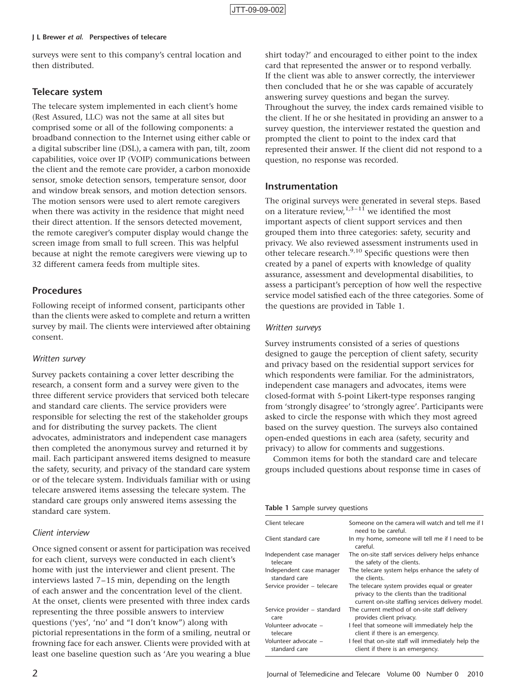#### J L Brewer et al. Perspectives of telecare

surveys were sent to this company's central location and then distributed.

### Telecare system

The telecare system implemented in each client's home (Rest Assured, LLC) was not the same at all sites but comprised some or all of the following components: a broadband connection to the Internet using either cable or a digital subscriber line (DSL), a camera with pan, tilt, zoom capabilities, voice over IP (VOIP) communications between the client and the remote care provider, a carbon monoxide sensor, smoke detection sensors, temperature sensor, door and window break sensors, and motion detection sensors. The motion sensors were used to alert remote caregivers when there was activity in the residence that might need their direct attention. If the sensors detected movement, the remote caregiver's computer display would change the screen image from small to full screen. This was helpful because at night the remote caregivers were viewing up to 32 different camera feeds from multiple sites.

# Procedures

Following receipt of informed consent, participants other than the clients were asked to complete and return a written survey by mail. The clients were interviewed after obtaining consent.

#### Written survey

Survey packets containing a cover letter describing the research, a consent form and a survey were given to the three different service providers that serviced both telecare and standard care clients. The service providers were responsible for selecting the rest of the stakeholder groups and for distributing the survey packets. The client advocates, administrators and independent case managers then completed the anonymous survey and returned it by mail. Each participant answered items designed to measure the safety, security, and privacy of the standard care system or of the telecare system. Individuals familiar with or using telecare answered items assessing the telecare system. The standard care groups only answered items assessing the standard care system.

#### Client interview

Once signed consent or assent for participation was received for each client, surveys were conducted in each client's home with just the interviewer and client present. The interviews lasted 7–15 min, depending on the length of each answer and the concentration level of the client. At the onset, clients were presented with three index cards representing the three possible answers to interview questions ('yes', 'no' and "I don't know") along with pictorial representations in the form of a smiling, neutral or frowning face for each answer. Clients were provided with at least one baseline question such as 'Are you wearing a blue

shirt today?' and encouraged to either point to the index card that represented the answer or to respond verbally. If the client was able to answer correctly, the interviewer then concluded that he or she was capable of accurately answering survey questions and began the survey. Throughout the survey, the index cards remained visible to the client. If he or she hesitated in providing an answer to a survey question, the interviewer restated the question and prompted the client to point to the index card that represented their answer. If the client did not respond to a question, no response was recorded.

## Instrumentation

The original surveys were generated in several steps. Based on a literature review,  $1,3-1$  we identified the most important aspects of client support services and then grouped them into three categories: safety, security and privacy. We also reviewed assessment instruments used in other telecare research. $9,10$  Specific questions were then created by a panel of experts with knowledge of quality assurance, assessment and developmental disabilities, to assess a participant's perception of how well the respective service model satisfied each of the three categories. Some of the questions are provided in Table 1.

#### Written surveys

Survey instruments consisted of a series of questions designed to gauge the perception of client safety, security and privacy based on the residential support services for which respondents were familiar. For the administrators, independent case managers and advocates, items were closed-format with 5-point Likert-type responses ranging from 'strongly disagree' to 'strongly agree'. Participants were asked to circle the response with which they most agreed based on the survey question. The surveys also contained open-ended questions in each area (safety, security and privacy) to allow for comments and suggestions.

Common items for both the standard care and telecare groups included questions about response time in cases of

## Table 1 Sample survey questions

| Client telecare             | Someone on the camera will watch and tell me if I<br>need to be careful.                                                                          |
|-----------------------------|---------------------------------------------------------------------------------------------------------------------------------------------------|
| Client standard care        | In my home, someone will tell me if I need to be<br>careful.                                                                                      |
| Independent case manager    | The on-site staff services delivery helps enhance                                                                                                 |
| telecare                    | the safety of the clients.                                                                                                                        |
| Independent case manager    | The telecare system helps enhance the safety of                                                                                                   |
| standard care               | the clients.                                                                                                                                      |
| Service provider - telecare | The telecare system provides equal or greater<br>privacy to the clients than the traditional<br>current on-site staffing services delivery model. |
| Service provider - standard | The current method of on-site staff delivery                                                                                                      |
| care                        | provides client privacy.                                                                                                                          |
| Volunteer advocate -        | I feel that someone will immediately help the                                                                                                     |
| telecare                    | client if there is an emergency.                                                                                                                  |
| Volunteer advocate -        | I feel that on-site staff will immediately help the                                                                                               |
| standard care               | client if there is an emergency.                                                                                                                  |
|                             |                                                                                                                                                   |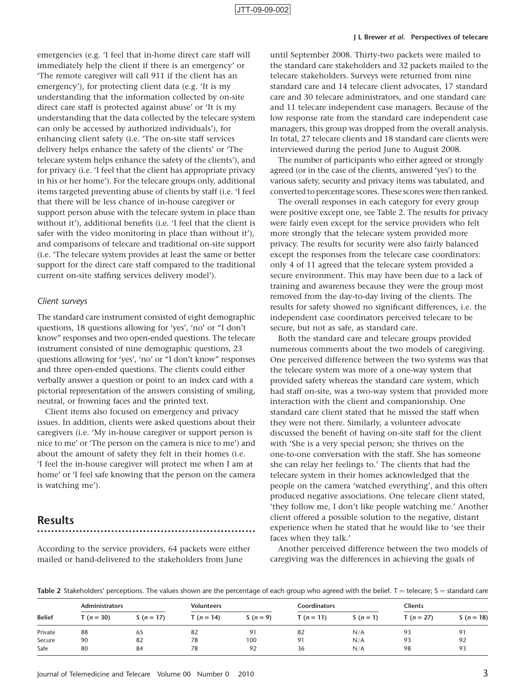emergencies (e.g. 'I feel that in-home direct care staff will immediately help the client if there is an emergency' or 'The remote caregiver will call 911 if the client has an emergency'), for protecting client data (e.g. 'It is my understanding that the information collected by on-site direct care staff is protected against abuse' or 'It is my understanding that the data collected by the telecare system can only be accessed by authorized individuals'), for enhancing client safety (i.e. 'The on-site staff services delivery helps enhance the safety of the clients' or 'The telecare system helps enhance the safety of the clients'), and for privacy (i.e. 'I feel that the client has appropriate privacy in his or her home'). For the telecare groups only, additional items targeted preventing abuse of clients by staff (i.e. 'I feel that there will be less chance of in-house caregiver or support person abuse with the telecare system in place than without it'), additional benefits (i.e. 'I feel that the client is safer with the video monitoring in place than without it'), and comparisons of telecare and traditional on-site support (i.e. 'The telecare system provides at least the same or better support for the direct care staff compared to the traditional current on-site staffing services delivery model').

#### Client surveys

The standard care instrument consisted of eight demographic questions, 18 questions allowing for 'yes', 'no' or "I don't know" responses and two open-ended questions. The telecare instrument consisted of nine demographic questions, 23 questions allowing for 'yes', 'no' or "I don't know" responses and three open-ended questions. The clients could either verbally answer a question or point to an index card with a pictorial representation of the answers consisting of smiling, neutral, or frowning faces and the printed text.

Client items also focused on emergency and privacy issues. In addition, clients were asked questions about their caregivers (i.e. 'My in-house caregiver or support person is nice to me' or 'The person on the camera is nice to me') and about the amount of safety they felt in their homes (i.e. 'I feel the in-house caregiver will protect me when I am at home' or 'I feel safe knowing that the person on the camera is watching me').

# Results

# ..............................................................

According to the service providers, 64 packets were either mailed or hand-delivered to the stakeholders from June

#### J L Brewer et al. Perspectives of telecare

until September 2008. Thirty-two packets were mailed to the standard care stakeholders and 32 packets mailed to the telecare stakeholders. Surveys were returned from nine standard care and 14 telecare client advocates, 17 standard care and 30 telecare administrators, and one standard care and 11 telecare independent case managers. Because of the low response rate from the standard care independent case managers, this group was dropped from the overall analysis. In total, 27 telecare clients and 18 standard care clients were interviewed during the period June to August 2008.

The number of participants who either agreed or strongly agreed (or in the case of the clients, answered 'yes') to the various safety, security and privacy items was tabulated, and converted to percentage scores. These scores were then ranked.

The overall responses in each category for every group were positive except one, see Table 2. The results for privacy were fairly even except for the service providers who felt more strongly that the telecare system provided more privacy. The results for security were also fairly balanced except the responses from the telecare case coordinators: only 4 of 11 agreed that the telecare system provided a secure environment. This may have been due to a lack of training and awareness because they were the group most removed from the day-to-day living of the clients. The results for safety showed no significant differences, i.e. the independent case coordinators perceived telecare to be secure, but not as safe, as standard care.

Both the standard care and telecare groups provided numerous comments about the two models of caregiving. One perceived difference between the two systems was that the telecare system was more of a one-way system that provided safety whereas the standard care system, which had staff on-site, was a two-way system that provided more interaction with the client and companionship. One standard care client stated that he missed the staff when they were not there. Similarly, a volunteer advocate discussed the benefit of having on-site staff for the client with 'She is a very special person; she thrives on the one-to-one conversation with the staff. She has someone she can relay her feelings to.' The clients that had the telecare system in their homes acknowledged that the people on the camera 'watched everything', and this often produced negative associations. One telecare client stated, 'they follow me, I don't like people watching me.' Another client offered a possible solution to the negative, distant experience when he stated that he would like to 'see their faces when they talk.'

Another perceived difference between the two models of caregiving was the differences in achieving the goals of

|  |  |  |  |  | <b>Table 2</b> Stakeholders' perceptions. The values shown are the percentage of each group who agreed with the belief. T = telecare: S = standard care |
|--|--|--|--|--|---------------------------------------------------------------------------------------------------------------------------------------------------------|
|--|--|--|--|--|---------------------------------------------------------------------------------------------------------------------------------------------------------|

|               |             | <b>Administrators</b> |             | <b>Volunteers</b> |             | Coordinators |             | <b>Clients</b> |  |
|---------------|-------------|-----------------------|-------------|-------------------|-------------|--------------|-------------|----------------|--|
| <b>Belief</b> | $T(n = 30)$ | $S(n = 17)$           | $T(n = 14)$ | $S(n = 9)$        | $T(n = 11)$ | $S(n = 1)$   | $T(n = 27)$ | $S(n = 18)$    |  |
| Private       | 88          | 65                    | 82          |                   | 82          | N/A          | 93          | 91             |  |
| Secure        | 90          | 82                    | 78          | 100               | 91          | N/A          | 93          | 92             |  |
| Safe          | 80          | 84                    | 78          | 92                | 36          | N/A          | 98          | 93             |  |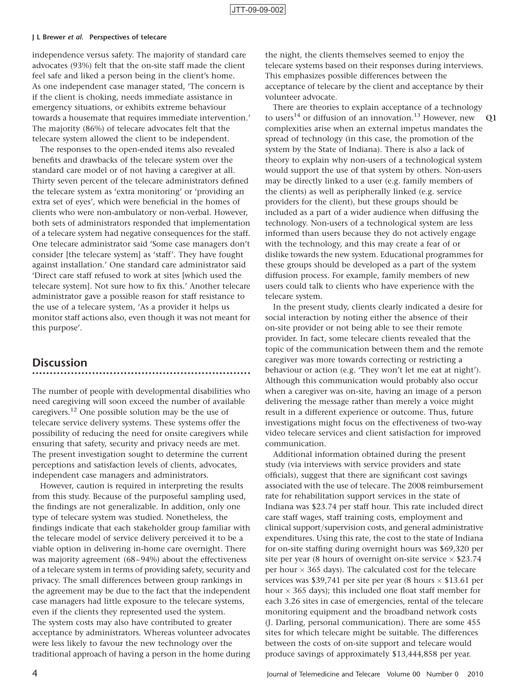#### J L Brewer et al. Perspectives of telecare

independence versus safety. The majority of standard care advocates (93%) felt that the on-site staff made the client feel safe and liked a person being in the client's home. As one independent case manager stated, 'The concern is if the client is choking, needs immediate assistance in emergency situations, or exhibits extreme behaviour towards a housemate that requires immediate intervention.' The majority (86%) of telecare advocates felt that the telecare system allowed the client to be independent.

The responses to the open-ended items also revealed benefits and drawbacks of the telecare system over the standard care model or of not having a caregiver at all. Thirty seven percent of the telecare administrators defined the telecare system as 'extra monitoring' or 'providing an extra set of eyes', which were beneficial in the homes of clients who were non-ambulatory or non-verbal. However, both sets of administrators responded that implementation of a telecare system had negative consequences for the staff. One telecare administrator said 'Some case managers don't consider [the telecare system] as 'staff'. They have fought against installation.' One standard care administrator said 'Direct care staff refused to work at sites [which used the telecare system]. Not sure how to fix this.' Another telecare administrator gave a possible reason for staff resistance to the use of a telecare system, 'As a provider it helps us monitor staff actions also, even though it was not meant for this purpose'.

### .............................................................. **Discussion**

The number of people with developmental disabilities who need caregiving will soon exceed the number of available caregivers.<sup>12</sup> One possible solution may be the use of telecare service delivery systems. These systems offer the possibility of reducing the need for onsite caregivers while ensuring that safety, security and privacy needs are met. The present investigation sought to determine the current perceptions and satisfaction levels of clients, advocates, independent case managers and administrators.

However, caution is required in interpreting the results from this study. Because of the purposeful sampling used, the findings are not generalizable. In addition, only one type of telecare system was studied. Nonetheless, the findings indicate that each stakeholder group familiar with the telecare model of service delivery perceived it to be a viable option in delivering in-home care overnight. There was majority agreement (68–94%) about the effectiveness of a telecare system in terms of providing safety, security and privacy. The small differences between group rankings in the agreement may be due to the fact that the independent case managers had little exposure to the telecare systems, even if the clients they represented used the system. The system costs may also have contributed to greater acceptance by administrators. Whereas volunteer advocates were less likely to favour the new technology over the traditional approach of having a person in the home during

the night, the clients themselves seemed to enjoy the telecare systems based on their responses during interviews. This emphasizes possible differences between the acceptance of telecare by the client and acceptance by their volunteer advocate.

There are theories to explain acceptance of a technology to users<sup>14</sup> or diffusion of an innovation.<sup>13</sup> However, new  $Q1$ complexities arise when an external impetus mandates the spread of technology (in this case, the promotion of the system by the State of Indiana). There is also a lack of theory to explain why non-users of a technological system would support the use of that system by others. Non-users may be directly linked to a user (e.g. family members of the clients) as well as peripherally linked (e.g. service providers for the client), but these groups should be included as a part of a wider audience when diffusing the technology. Non-users of a technological system are less informed than users because they do not actively engage with the technology, and this may create a fear of or dislike towards the new system. Educational programmes for these groups should be developed as a part of the system diffusion process. For example, family members of new users could talk to clients who have experience with the telecare system.

In the present study, clients clearly indicated a desire for social interaction by noting either the absence of their on-site provider or not being able to see their remote provider. In fact, some telecare clients revealed that the topic of the communication between them and the remote caregiver was more towards correcting or restricting a behaviour or action (e.g. 'They won't let me eat at night'). Although this communication would probably also occur when a caregiver was on-site, having an image of a person delivering the message rather than merely a voice might result in a different experience or outcome. Thus, future investigations might focus on the effectiveness of two-way video telecare services and client satisfaction for improved communication.

Additional information obtained during the present study (via interviews with service providers and state officials), suggest that there are significant cost savings associated with the use of telecare. The 2008 reimbursement rate for rehabilitation support services in the state of Indiana was \$23.74 per staff hour. This rate included direct care staff wages, staff training costs, employment and clinical support/supervision costs, and general administrative expenditures. Using this rate, the cost to the state of Indiana for on-site staffing during overnight hours was \$69,320 per site per year (8 hours of overnight on-site service  $\times$  \$23.74 per hour  $\times$  365 days). The calculated cost for the telecare services was \$39,741 per site per year (8 hours  $\times$  \$13.61 per hour  $\times$  365 days); this included one float staff member for each 3.26 sites in case of emergencies, rental of the telecare monitoring equipment and the broadband network costs (J. Darling, personal communication). There are some 455 sites for which telecare might be suitable. The differences between the costs of on-site support and telecare would produce savings of approximately \$13,444,858 per year.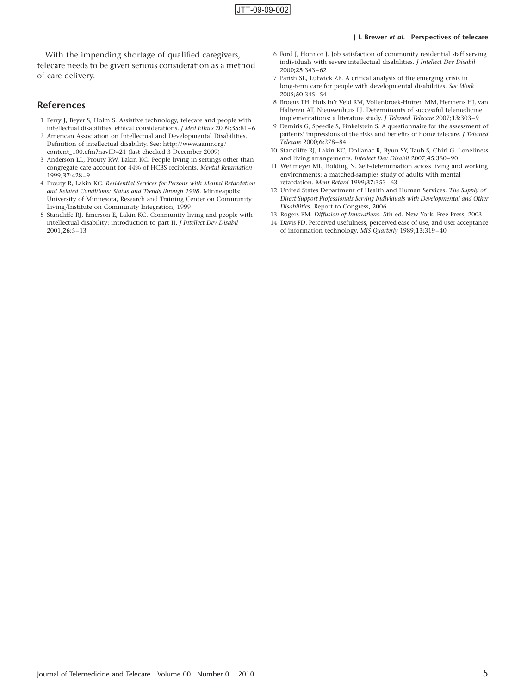#### J L Brewer et al. Perspectives of telecare

With the impending shortage of qualified caregivers, telecare needs to be given serious consideration as a method of care delivery.

# References

- 1 Perry J, Beyer S, Holm S. Assistive technology, telecare and people with intellectual disabilities: ethical considerations. J Med Ethics 2009;35:81–6
- 2 American Association on Intellectual and Developmental Disabilities. Definition of intellectual disability. See: http://www.aamr.org/ content\_100.cfm?navID=21 (last checked 3 December 2009)
- 3 Anderson LL, Prouty RW, Lakin KC. People living in settings other than congregate care account for 44% of HCBS recipients. Mental Retardation 1999;37:428–9
- 4 Prouty R, Lakin KC. Residential Services for Persons with Mental Retardation and Related Conditions: Status and Trends through 1998. Minneapolis: University of Minnesota, Research and Training Center on Community Living/Institute on Community Integration, 1999
- 5 Stancliffe RJ, Emerson E, Lakin KC. Community living and people with intellectual disability: introduction to part II. J Intellect Dev Disabil 2001;26:5–13
- 6 Ford J, Honnor J. Job satisfaction of community residential staff serving individuals with severe intellectual disabilities. J Intellect Dev Disabil 2000;25:343–62
- 7 Parish SL, Lutwick ZE. A critical analysis of the emerging crisis in long-term care for people with developmental disabilities. Soc Work 2005;50:345–54
- 8 Broens TH, Huis in't Veld RM, Vollenbroek-Hutten MM, Hermens HJ, van Halteren AT, Nieuwenhuis LJ. Determinants of successful telemedicine implementations: a literature study. J Telemed Telecare 2007;13:303–9
- 9 Demiris G, Speedie S, Finkelstein S. A questionnaire for the assessment of patients' impressions of the risks and benefits of home telecare. J Telemed Telecare 2000;6:278–84
- 10 Stancliffe RJ, Lakin KC, Doljanac R, Byun SY, Taub S, Chiri G. Loneliness and living arrangements. Intellect Dev Disabil 2007;45:380–90
- 11 Wehmeyer ML, Bolding N. Self-determination across living and working environments: a matched-samples study of adults with mental retardation. Ment Retard 1999;37:353–63
- 12 United States Department of Health and Human Services. The Supply of Direct Support Professionals Serving Individuals with Developmental and Other Disabilities. Report to Congress, 2006
- 13 Rogers EM. Diffusion of Innovations. 5th ed. New York: Free Press, 2003
- 14 Davis FD. Perceived usefulness, perceived ease of use, and user acceptance of information technology. MIS Quarterly 1989;13:319–40